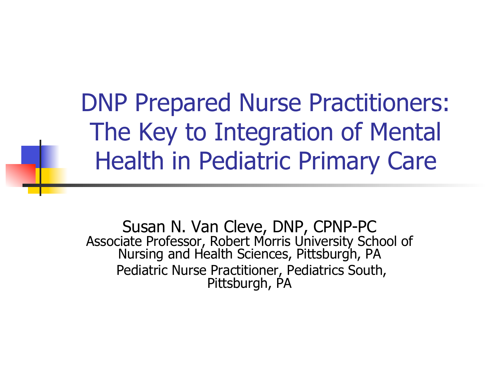DNP Prepared Nurse Practitioners: The Key to Integration of Mental Health in Pediatric Primary Care

Susan N. Van Cleve, DNP, CPNP-PC Associate Professor, Robert Morris University School of Nursing and Health Sciences, Pittsburgh, PA Pediatric Nurse Practitioner, Pediatrics South, Pittsburgh, PA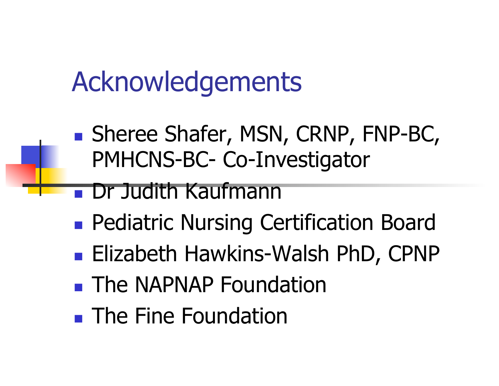#### Acknowledgements

■ Sheree Shafer, MSN, CRNP, FNP-BC, PMHCNS-BC- Co-Investigator

#### Dr Judith Kaufmann

- **Pediatric Nursing Certification Board**
- Elizabeth Hawkins-Walsh PhD, CPNP
- **The NAPNAP Foundation**
- **The Fine Foundation**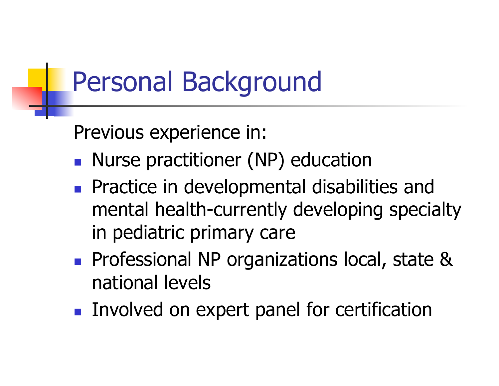#### Personal Background

Previous experience in:

- **Nurse practitioner (NP) education**
- **Practice in developmental disabilities and** mental health-currently developing specialty in pediatric primary care
- **Professional NP organizations local, state &** national levels
- **Involved on expert panel for certification**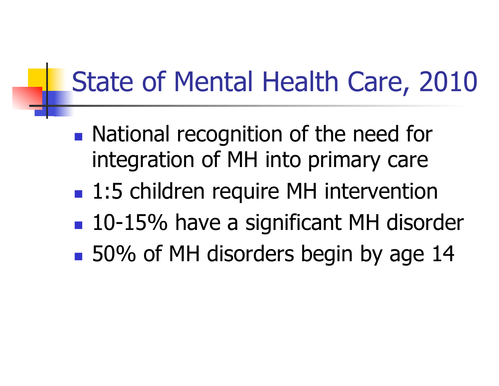## State of Mental Health Care, 2010

- **National recognition of the need for** integration of MH into primary care
- 1:5 children require MH intervention
- 10-15% have a significant MH disorder
- 50% of MH disorders begin by age 14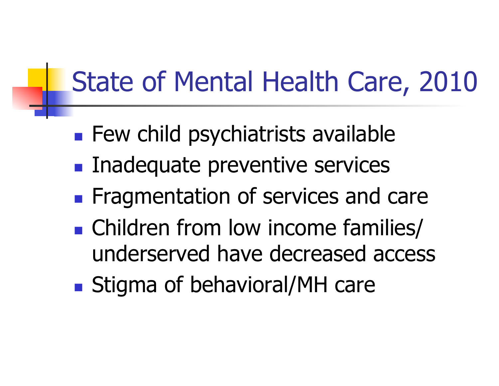# State of Mental Health Care, 2010

- **Few child psychiatrists available**
- **Inadequate preventive services**
- **Figure Fragmentation of services and care**
- Children from low income families/ underserved have decreased access
- Stigma of behavioral/MH care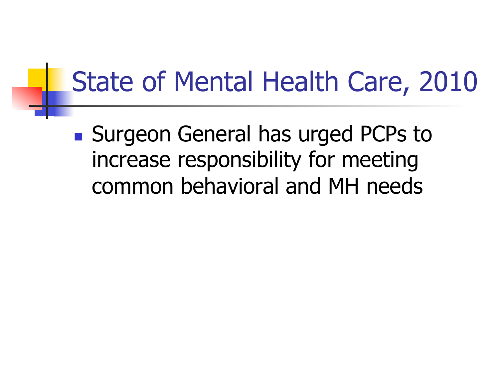#### State of Mental Health Care, 2010

■ Surgeon General has urged PCPs to increase responsibility for meeting common behavioral and MH needs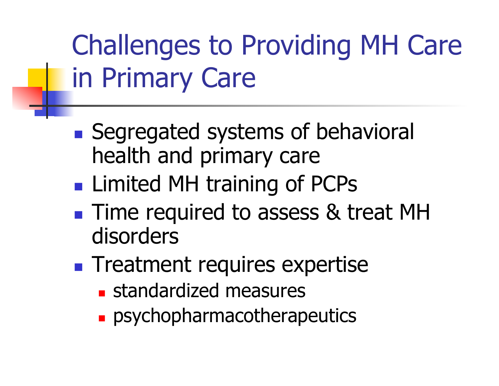## Challenges to Providing MH Care in Primary Care

- Segregated systems of behavioral health and primary care
- **Limited MH training of PCPs**
- **Time required to assess & treat MH** disorders
- **Treatment requires expertise** 
	- **standardized measures**
	- **psychopharmacotherapeutics**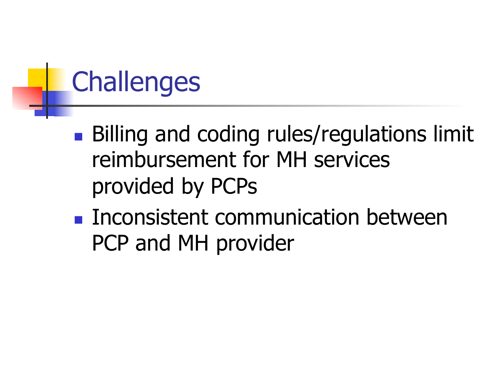# **Challenges**

- Billing and coding rules/regulations limit reimbursement for MH services provided by PCPs
- **Inconsistent communication between** PCP and MH provider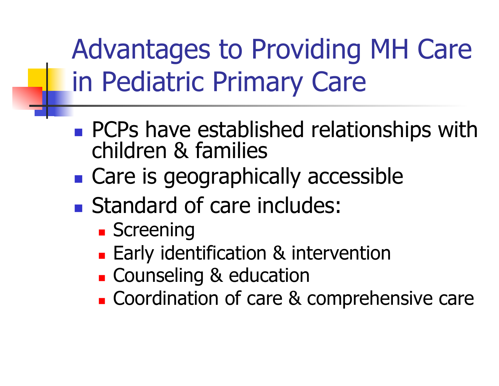Advantages to Providing MH Care in Pediatric Primary Care

- **PCPs have established relationships with** children & families
- Care is geographically accessible
- Standard of care includes:
	- **Screening**
	- **Early identification & intervention**
	- **Counseling & education**
	- **Coordination of care & comprehensive care**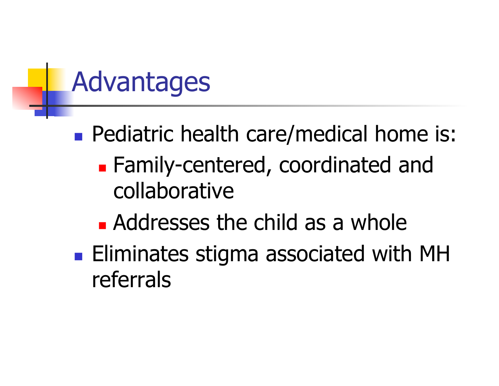#### Advantages

- **Pediatric health care/medical home is: Example 1-** Family-centered, coordinated and collaborative
	- **Addresses the child as a whole**
- **Eliminates stigma associated with MH** referrals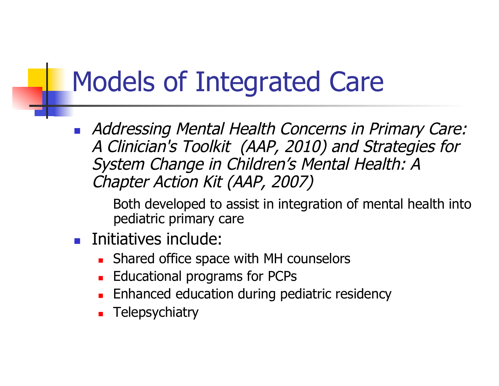#### Models of Integrated Care

**Addressing Mental Health Concerns in Primary Care:** A Clinician's Toolkit (AAP, 2010) and Strategies for System Change in Children's Mental Health: A Chapter Action Kit (AAP, 2007)

Both developed to assist in integration of mental health into pediatric primary care

- **Initiatives include:** 
	- Shared office space with MH counselors
	- Educational programs for PCPs
	- Enhanced education during pediatric residency
	- **Telepsychiatry**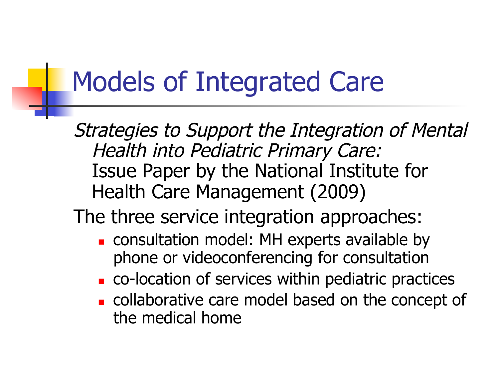#### Models of Integrated Care

Strategies to Support the Integration of Mental Health into Pediatric Primary Care: Issue Paper by the National Institute for Health Care Management (2009)

#### The three service integration approaches:

- **consultation model: MH experts available by** phone or videoconferencing for consultation
- co-location of services within pediatric practices
- collaborative care model based on the concept of the medical home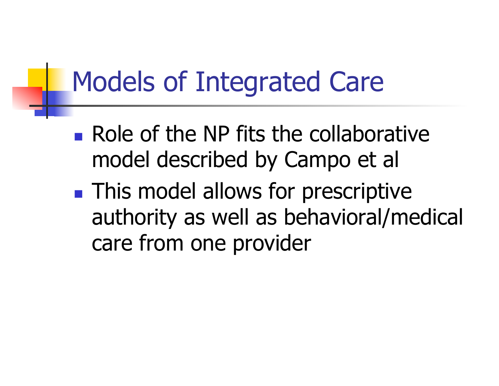#### Models of Integrated Care

- **Role of the NP fits the collaborative** model described by Campo et al
- **This model allows for prescriptive** authority as well as behavioral/medical care from one provider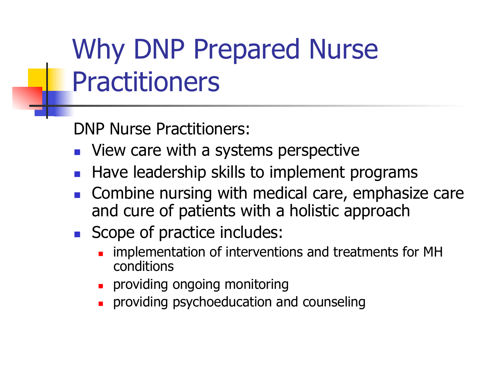## Why DNP Prepared Nurse **Practitioners**

DNP Nurse Practitioners:

- **Notal** View care with a systems perspective
- Have leadership skills to implement programs
- Combine nursing with medical care, emphasize care and cure of patients with a holistic approach
- Scope of practice includes:
	- implementation of interventions and treatments for MH conditions
	- **Providing ongoing monitoring**
	- providing psychoeducation and counseling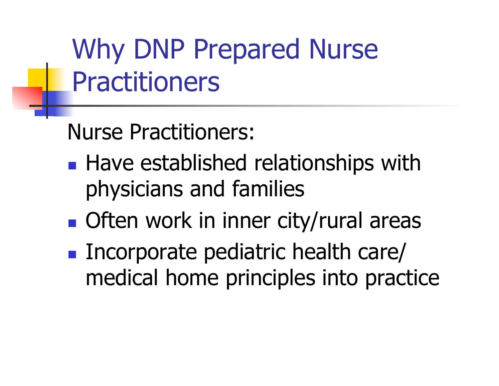Why DNP Prepared Nurse **Practitioners** 

Nurse Practitioners:

- **Have established relationships with** physicians and families
- Often work in inner city/rural areas
- Incorporate pediatric health care/ medical home principles into practice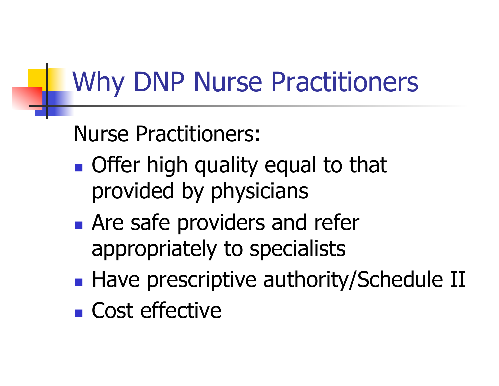#### Why DNP Nurse Practitioners

#### Nurse Practitioners:

- **Offer high quality equal to that** provided by physicians
- **Are safe providers and refer** appropriately to specialists
- Have prescriptive authority/Schedule II
- Cost effective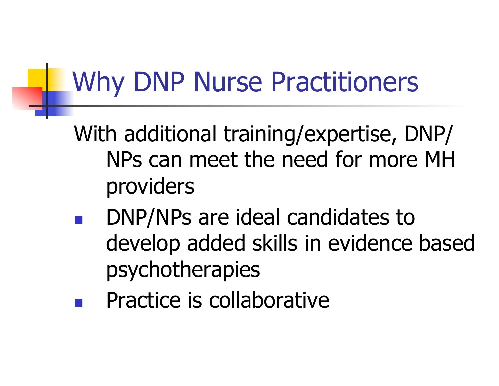#### Why DNP Nurse Practitioners

- With additional training/expertise, DNP/ NPs can meet the need for more MH providers
- DNP/NPs are ideal candidates to develop added skills in evidence based psychotherapies
- Practice is collaborative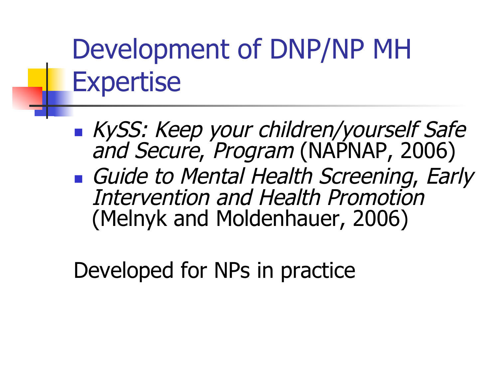#### Development of DNP/NP MH Expertise

**KySS: Keep your children/yourself Safe** and Secure, Program (NAPNAP, 2006) Guide to Mental Health Screening, Early Intervention and Health Promotion (Melnyk and Moldenhauer, 2006)

Developed for NPs in practice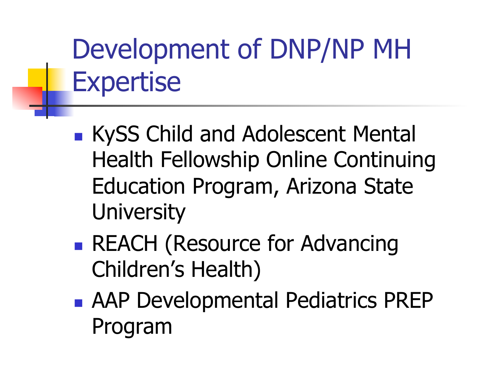## Development of DNP/NP MH Expertise

- **KySS Child and Adolescent Mental** Health Fellowship Online Continuing Education Program, Arizona State **University**
- REACH (Resource for Advancing Children's Health)
- AAP Developmental Pediatrics PREP Program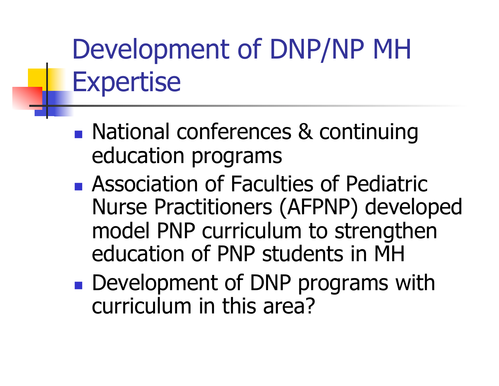## Development of DNP/NP MH Expertise

- National conferences & continuing education programs
- **Association of Faculties of Pediatric** Nurse Practitioners (AFPNP) developed model PNP curriculum to strengthen education of PNP students in MH
- **Development of DNP programs with** curriculum in this area?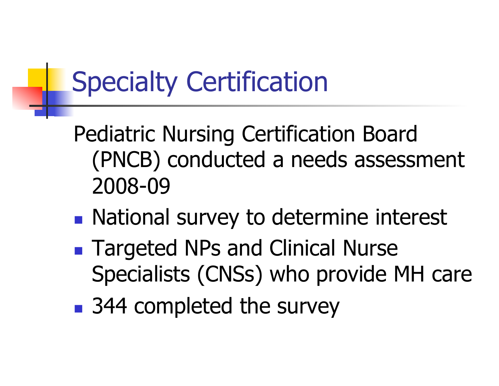## Specialty Certification

Pediatric Nursing Certification Board (PNCB) conducted a needs assessment 2008-09

- **National survey to determine interest**
- Targeted NPs and Clinical Nurse Specialists (CNSs) who provide MH care
- 344 completed the survey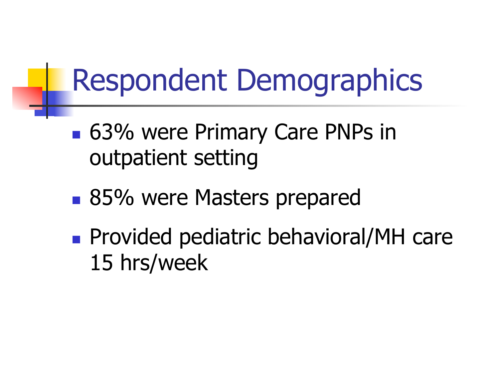# Respondent Demographics

- 63% were Primary Care PNPs in outpatient setting
- 85% were Masters prepared
- **Provided pediatric behavioral/MH care** 15 hrs/week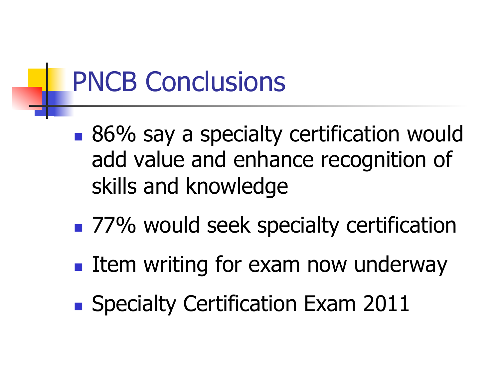#### PNCB Conclusions

- 86% say a specialty certification would add value and enhance recognition of skills and knowledge
- 77% would seek specialty certification
- $\blacksquare$  Item writing for exam now underway
- Specialty Certification Exam 2011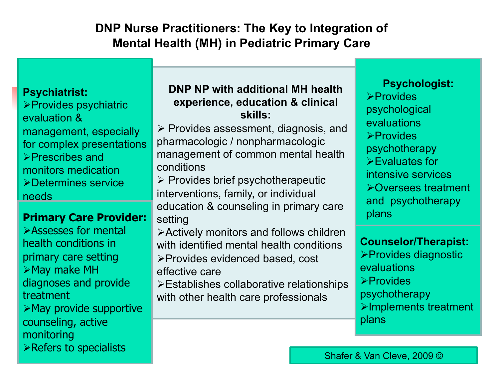#### **DNP Nurse Practitioners: The Key to Integration of Mental Health (MH) in Pediatric Primary Care**

#### **Psychiatrist:**

**Psychiatrist**  Provides psychiatric evaluation & management, especially for complex presentations Prescribes and monitors medication Determines service needs

**Primary Care Primary Primary Primary Primary Primary Primary Primary Primary Primary Primary Primary Primary** Assesses for mental health conditions in primary care setting diagnoses and provide treatment  $\triangleright$  May provide supportive counseling, active monitoring Refers to specialists

#### **DNP NP with additional MH health experience, education & clinical skills:**

 $\triangleright$  Provides assessment, diagnosis, and pharmacologic / nonpharmacologic management of common mental health conditions

 $\triangleright$  Provides brief psychotherapeutic interventions, family, or individual education & counseling in primary care setting **Primary Care Provider:** education & counseling in primary care **Primary Care** 

> Actively monitors and follows children with identified mental health conditions Provides evidenced based, cost effective care

Establishes collaborative relationships with other health care professionals

**Provides Psychologist:**  psychological **evaluations**  $\triangleright$ Provides psychotherapy Evaluates for intensive services Oversees treatment and psychotherapy

**Counselor/Therapist:**  Provides diagnostic

*Counsel* and *Shoote*<br>
evaluations  $\triangleright$ Provides psychotherapy Implements treatment plans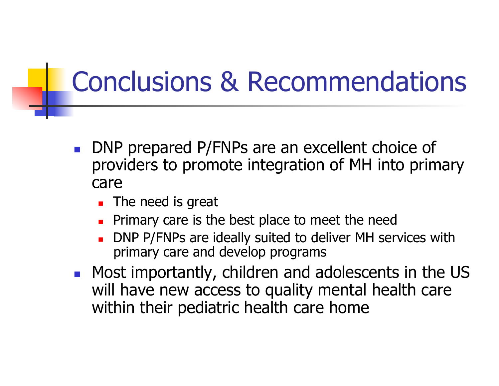#### Conclusions & Recommendations

- DNP prepared P/FNPs are an excellent choice of providers to promote integration of MH into primary care
	- **The need is great**
	- Primary care is the best place to meet the need
	- DNP P/FNPs are ideally suited to deliver MH services with primary care and develop programs
- **Most importantly, children and adolescents in the US** will have new access to quality mental health care within their pediatric health care home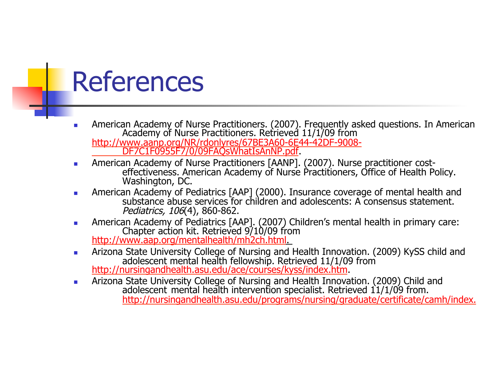

- **American Academy of Nurse Practitioners. (2007). Frequently asked questions. In American Academy of Nurse Practitioners. Retrieved 11/1/09 from** http://www.aanp.org/NR/rdonlyres/67BE3A60-6E44-42DF-9008- DF7C1F0955F7/0/09FAQsWhatIsAnNP.pdf.
- American Academy of Nurse Practitioners [AANP]. (2007). Nurse practitioner costeffectiveness. American Academy of Nurse Practitioners, Office of Health Policy. Washington, DC.
- **American Academy of Pediatrics [AAP] (2000). Insurance coverage of mental health and** substance abuse services for children and adolescents: A consensus statement. Pediatrics, 106(4), 860-862.
- American Academy of Pediatrics [AAP]. (2007) Children's mental health in primary care: http://www.aap.org/mentalhealth/mh2ch.html
- **Arizona State University College of Nursing and Health Innovation. (2009) KySS child and** adolescent mental health fellowship. Retrieved 11/1/09 from<br>http://nursingandhealth.asu.edu/ace/courses/kyss/index.htm.
- Arizona State University College of Nursing and Health Innovation. (2009) Child and adolescent mental health intervention specialist. Retrieved 11/1/09 from. http://nursingandhealth.asu.edu/programs/nursing/graduate/certificate/camh/index.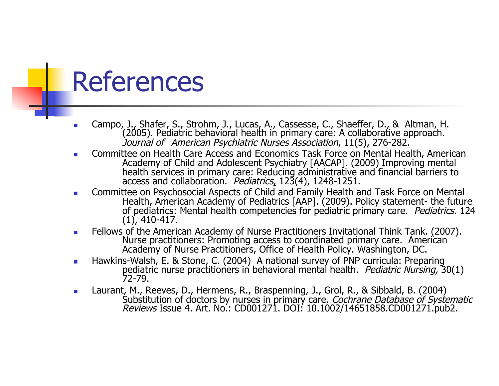- Campo, J., Shafer, S., Strohm, J., Lucas, A., Cassesse, C., Shaeffer, D., & Altman, H. (2005). Pediatric behavioral health in primary care: A collaborative approach. Journal of American Psychiatric Nurses Association, 11(5), 276-282.
- Committee on Health Care Access and Economics Task Force on Mental Health, American Academy of Child and Adolescent Psychiatry [AACAP]. (2009) Improving mental health services in primary care: Reducing administrative and financial barriers to access and collaboration. Pediatrics, 123(4), 1248-1251.
- Committee on Psychosocial Aspects of Child and Family Health and Task Force on Mental Health, American Academy of Pediatrics [AAP]. (2009). Policy statement- the future of pediatrics: Mental health competencies for pediatric primary care. Pediatrics. 124 (1), 410-417.
- Fellows of the American Academy of Nurse Practitioners Invitational Think Tank. (2007). Nurse practitioners: Promoting access to coordinated primary care. American Academy of Nurse Practitioners, Office of Health Policy. Washington, DC.
- **Hawkins-Walsh, E. & Stone, C. (2004)** A national survey of PNP curricula: Preparing pediatric nurse practitioners in behavioral mental health. Pediatric Nursing, 30(1) 72-79.
- Laurant, M., Reeves, D., Hermens, R., Braspenning, J., Grol, R., & Sibbald, B. (2004) Substitution of doctors by nurses in primary care. *Cochrane Database of Systematic Reviews Issue 4. Art. No.: CD001271. DOI: 10.1002/14651858.CD001271.pub2.*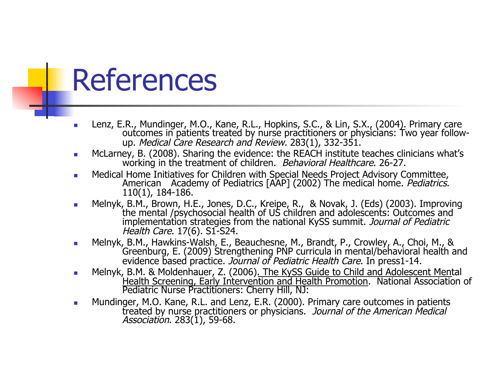- Lenz, E.R., Mundinger, M.O., Kane, R.L., Hopkins, S.C., & Lin, S.X., (2004). Primary care<br>- outcomes in patients treated by nurse practitioners or physicians: Two year follow up. Medical Care Research and Review. 283(1), 332-351.
- **McLarney, B. (2008). Sharing the evidence: the REACH institute teaches clinicians what's** working in the treatment of children. *Behavioral Healthcare*. 26-27.
- Medical Home Initiatives for Children with Special Needs Project Advisory Committee,<br>American Academy of Pediatrics [AAP] (2002) The medical home. *Pediatrics*.<br>110(1), 184-186.
- Melnyk, B.M., Brown, H.E., Jones, D.C., Kreipe, R., & Novak, J. (Eds) (2003). Improving the mental /psychosocial health of US children and adolescents: Outcomes and implementation strategies from the national KySS summit. Journal of Pediatric Health Care. 17(6). S1-S24.
- Melnyk, B.M., Hawkins-Walsh, E., Beauchesne, M., Brandt, P., Crowley, A., Choi, M., & Greenburg, E. (2009) Strengthening PNP curricula in mental/behavioral health and evidence based practice. Journal of Pediatric Health Care. In press1-14.
- **Melnyk, B.M. & Moldenhauer, Z. (2006). The KySS Guide to Child and Adolescent Mental** Health Screening, Early Intervention and Health Promotion. National Association of Pediatric Nurse Practitioners: Cherry Hill, NJ:
- **Mundinger, M.O. Kane, R.L. and Lenz, E.R. (2000). Primary care outcomes in patients** treated by nurse practitioners or physicians. Journal of the American Medical Association. 283(1), 59-68.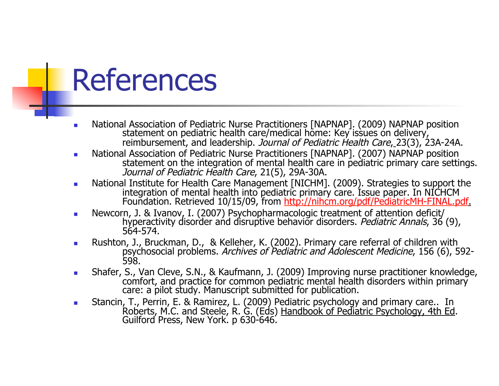- Interpretional Association of Pediatric Nurse Practitioners [NAPNAP]. (2009) NAPNAP position<br>statement on pediatric health care/medical home: Key issues on delivery, reimbursement, and leadership. Journal of Pediatric Health Care, 23(3). 23A-24A.
- National Association of Pediatric Nurse Practitioners [NAPNAP]. (2007) NAPNAP position statement on the integration of mental health care in pediatric primary care settings. Journal of Pediatric Health Care, 21(5), 29A-30A.
- **National Institute for Health Care Management [NICHM]. (2009). Strategies to support the** integration of mental health into pediatric primary care. Issue paper. In NICHCM Foundation. Retrieved 10/15/09, from http://nihcm.org/pdf/PediatricMH-FINAL.pdf.
- Newcorn, J. & Ivanov, I. (2007) Psychopharmacologic treatment of attention deficit/<br>hyperactivity disorder and disruptive behavior disorders. *Pediatric Annals*, 36 (9), 564-574.
- Rushton, J., Bruckman, D., & Kelleher, K. (2002). Primary care referral of children with psychosocial problems. Archives of Pediatric and Adolescent Medicine, 156 (6), 592-598.
- **Shafer, S., Van Cleve, S.N., & Kaufmann, J. (2009) Improving nurse practitioner knowledge,** comfort, and practice for common pediatric mental health disorders within primary care: a pilot study. Manuscript submitted for publication.
- **Stancin, T., Perrin, E. & Ramirez, L. (2009) Pediatric psychology and primary care.. In** Roberts, M.C. and Steele, R. G. (Eds) Handbook of Pediatric Psychology, 4th Ed.<br>Guilford Press, New York. p 630-646.